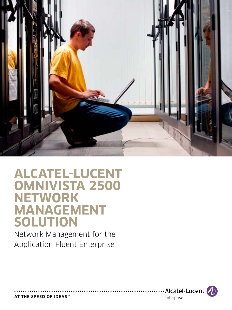

# **alcatel-lucent OMNIVISTA 2500 Network management solution**

Network Management for the Application Fluent Enterprise



AT THE SPEED OF IDEAS™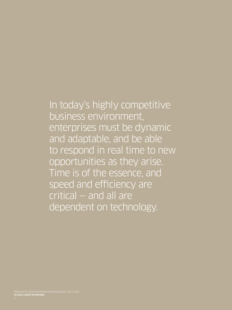# In today's highly competitive business environment, enterprises must be dynamic and adaptable, and be able to respond in real time to new

opportunities as they arise. Time is of the essence, and speed and efficiency are critical — and all are dependent on technology.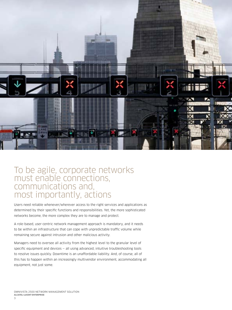

### To be agile, corporate networks must enable connections, communications and, most importantly, actions

Users need reliable whenever/wherever access to the right services and applications as determined by their specific functions and responsibilities. Yet, the more sophisticated networks become, the more complex they are to manage and protect.

A role-based, user-centric network management approach is mandatory, and it needs to be within an infrastructure that can cope with unpredictable traffic volume while remaining secure against intrusion and other malicious activity.

Managers need to oversee all activity from the highest level to the granular level of specific equipment and devices — all using advanced, intuitive troubleshooting tools to resolve issues quickly. Downtime is an unaffordable liability. And, of course, all of this has to happen within an increasingly multivendor environment, accommodating all equipment, not just some.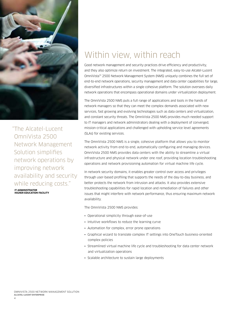

"The Alcatel-Lucent OmniVista 2500 Network Management Solution simplifies network operations by improving network availability and security while reducing costs."

**IT administrator Higher Education Facility**

# Within view, within reach

Good network management and security practices drive efficiency and productivity, and they also optimize return on investment. The integrated, easy-to-use Alcatel-Lucent OmniVista™ 2500 Network Management System (NMS) uniquely combines the full set of end-to-end network operations, security management and data center capabilities for large, diversified infrastructures within a single cohesive platform. The solution oversees daily network operations that encompass operational domains under virtualization deployment.

The OmniVista 2500 NMS puts a full range of applications and tools in the hands of network managers so that they can meet the complex demands associated with new services, fast growing and evolving technologies such as data centers and virtualization, and constant security threats. The OmniVista 2500 NMS provides much needed support to IT managers and network administrators dealing with a deployment of converged, mission-critical applications and challenged with upholding service level agreements (SLAs) for existing services.

The OmniVista 2500 NMS is a single, cohesive platform that allows you to monitor network activity from end-to-end, automatically configuring and managing devices. OmniVista 2500 NMS provides data centers with the ability to streamline a virtual infrastructure and physical network under one roof, providing location troubleshooting operations and network provisioning automation for virtual machine life cycle.

In network security domains, it enables greater control over access and privileges through user-based profiling that supports the needs of the day-to-day business, and better protects the network from intrusion and attacks. It also provides extensive troubleshooting capabilities for rapid location and remediation of failures and other issues that might interfere with network performance, thus ensuring maximum network availability.

The OmniVista 2500 NMS provides:

- Operational simplicity through ease-of-use
- Intuitive workflows to reduce the learning curve
- Automation for complex, error prone operations
- Graphical wizard to translate complex IT settings into OneTouch business-oriented complex policies
- Streamlined virtual machine life cycle and troubleshooting for data center network and virtualization operations
- Scalable architecture to sustain large deployments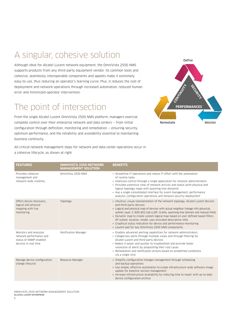# A singular, cohesive solution

Although ideal for Alcatel-Lucent network equipment, the OmniVista 2500 NMS supports products from any third-party equipment vendor. Its common tools and cohesive, seamlessly interoperable components and applets make it extremely easy-to-use, thus reducing an operator's learning curve. Plus, it reduces the cost of deployment and network operations through increased automation, reduced human error and minimized operator intervention.

## The point of intersection

From the single Alcatel-Lucent OmniVista 2500 NMS platform, managers exercise complete control over their enterprise network and data centers — from initial configuration through definition, monitoring and remediation — ensuring security, optimum performance, and the reliability and availability essential to maintaining business continuity.



All critical network management steps for network and data center operations occur in a cohesive lifecycle, as shown at right.

| <b>FEATURES</b>                                                                                    | <b>OMNIVISTA 2500 NETWORK</b><br><b>MANAGEMENT SOLUTION</b> | <b>BENEFITS</b>                                                                                                                                                                                                                                                                                                                                                                                                                                                                                                                                                         |
|----------------------------------------------------------------------------------------------------|-------------------------------------------------------------|-------------------------------------------------------------------------------------------------------------------------------------------------------------------------------------------------------------------------------------------------------------------------------------------------------------------------------------------------------------------------------------------------------------------------------------------------------------------------------------------------------------------------------------------------------------------------|
| Provides cohesive<br>management and<br>network-wide visibility                                     | OmniVista 2500 NMS                                          | • Streamline IT operations and reduce IT effort with the automation<br>of routine tasks<br>• Improves control through a single application for network administrators<br>• Provides extensive view of network activity and status (with physical and<br>logical topology maps with spanning tree domains)<br>• Has a single consolidated interface for event management, performance<br>analysis, configuration operations and network security deployment                                                                                                              |
| Offers device discovery.<br>logical and physical<br>mapping with live<br>monitoring                | Topology                                                    | • Intuitive, visual representation of the network topology, Alcatel-Lucent devices<br>and third-party devices<br>• Logical and physical map of devices with actual neighbor linkage info (physical,<br>subnet, layer 2, IEEE 802.1ab LLDP, VLANs, spanning tree domain and manual links)<br>• Dynamic map to create custom logical map based on user defined based filters<br>(IP subnet, location, model, user provided descriptive info)<br>• Graphical status indication for device and performance monitoring<br>• Launch pad for key OmniVista 2500 NMS components |
| Monitors and analyzes<br>network performance and<br>status of SNMP-enabled<br>devices in real time | Notification Manager                                        | • Enables advanced alerting capabilities for network administrators<br>• Categorizes alerts through multiple views and through filtering for<br>Alcatel-Lucent and third-party devices<br>• Makes it easier and quicker to troubleshoot and provide faster<br>resolution of alerts by pinpointing their root cause<br>• Remediation and notification actions based on predefined conditions<br>via a single click                                                                                                                                                       |
| Manage device configuration<br>change lifecycle                                                    | Resource Manager                                            | · Simplify configuration changes management through scheduling<br>and backup operations<br>• Use simple, effective automation to create infrastructure-wide software image<br>update for baseline version management<br>• Increase infrastructure availability by reducing time to repair with up-to-date<br>device configuration archive                                                                                                                                                                                                                               |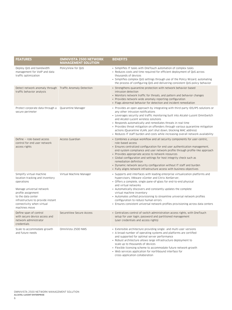| <b>FEATURES</b>                                                                                                                                                                                                                      | <b>OMNIVISTA 2500 NETWORK</b><br><b>MANAGEMENT SOLUTION</b> | <b>BENEFITS</b>                                                                                                                                                                                                                                                                                                                                                                                                                                                                                                                                                         |
|--------------------------------------------------------------------------------------------------------------------------------------------------------------------------------------------------------------------------------------|-------------------------------------------------------------|-------------------------------------------------------------------------------------------------------------------------------------------------------------------------------------------------------------------------------------------------------------------------------------------------------------------------------------------------------------------------------------------------------------------------------------------------------------------------------------------------------------------------------------------------------------------------|
| Deploy QoS and bandwidth<br>management for VoIP and data<br>traffic optimization                                                                                                                                                     | PolicyView for OoS                                          | • Simplifies IT tasks with OneTouch automation of complex tasks<br>• Reduces costs and time required for efficient deployment of QoS across<br>thousands of devices<br>• Simplifies complex QoS settings through use of the Policy Wizard, automating<br>the process of configuring QoS and delivering consistent QoS policy behavior                                                                                                                                                                                                                                   |
| Detect network anomaly through   Traffic Anomaly Detection<br>traffic behavior analysis                                                                                                                                              |                                                             | • Strengthens quarantine protection with network behavior-based<br>intrusion detection<br>• Monitors network traffic for threats, and pattern and behavior changes<br>• Provides network-wide anomaly reporting configuration<br>• Flags abnormal behavior for detection and incident remediation                                                                                                                                                                                                                                                                       |
| Protect corporate data through a<br>secure perimeter                                                                                                                                                                                 | Quarantine Manager                                          | • Provides an open approach by integrating with third-party IDS/IPS solutions or<br>any other intrusion notifications<br>• Leverages security and traffic monitoring built into Alcatel-Lucent OmniSwitch<br>and Alcatel-Lucent wireless solutions<br>• Responds automatically and remediates threats in real time<br>• Provides threat mitigation on offenders through various quarantine mitigation<br>actions (Quarantine VLAN, port shut down, blocking MAC address)<br>• Reduces IT staff burden and costs while increasing overall network availability           |
| Define - role-based access<br>control for end user network<br>access rights                                                                                                                                                          | Access Guardian                                             | • Combines a unique workflow and all security components for user-centric,<br>role-based access<br>• Ensures centralized configuration for end user authentication management,<br>end-system compliance and user network profile through profile-like approach<br>• Provides appropriate access to network resources<br>• Global configuration and settings for host integrity check such as<br>remediation definition<br>• Dynamic network security configuration without IT staff and burden<br>• Fully aligns network infrastructure access with business objectives |
| Simplify virtual machine<br>location tracking and inventory<br>operations<br>Manage universal network<br>profile assignment<br>to the data center<br>infrastructure to provide instant<br>connectivity when virtual<br>machines move | Virtual Machine Manager                                     | • Supports and interfaces with leading enterprise virtualization platforms and<br>hypervisors, VMware vCenter and Citrix XenServer,<br>• Offers a complete, single pane-of-glass for end-to-end physical<br>and virtual networks<br>• Automatically discovers and constantly updates the complete<br>virtual machine inventory<br>• Automates unified provisioning to streamline universal network profiles<br>configuration to reduce human errors<br>• Ensures consistent universal network profiles provisioning across data centers                                 |
| Define span of control<br>with secure device access and<br>network administrator<br>credentials                                                                                                                                      | SecureView Secure Access                                    | • Centralizes control of switch administration access rights, with OneTouch<br>setup for user login, password and partitioned management<br>(user credentials and access rights)                                                                                                                                                                                                                                                                                                                                                                                        |
| Scale to accommodate growth<br>and future needs                                                                                                                                                                                      | OmniVista 2500 NMS                                          | • Extensible architecture providing single- and multi-user versions<br>• A broad number of operating systems and platforms are certified<br>and supported for optimal server performance<br>• Robust architecture allows large infrastructure deployment to<br>scale up to thousands of devices<br>• Flexible licensing scheme to accommodate future network growth<br>• Web services application for northbound interface for                                                                                                                                          |

cross-application collaboration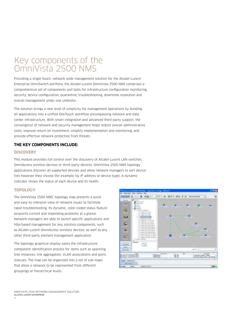### Key components of the OmniVista 2500 NMS

Providing a single-touch, network-wide management solution for the Alcatel-Lucent Enterprise OmniSwitch portfolio, the Alcatel-Lucent OmniVista 2500 NMS comprises a comprehensive set of components and tools for infrastructure configuration monitoring, security, device configuration, quarantine, troubleshooting, downtime resolution and overall management under one umbrella.

The solution brings a new level of simplicity for management operations by building all applications into a unified OneTouch workflow encompassing network and data center infrastructure. With smart integration and advanced third-party support, the convergence of network and security management helps reduce overall administrative costs, improve return on investment, simplify implementation and monitoring, and provide effective network protection from threats.

#### **The key components include:**

#### **Discovery**

This module provides full control over the discovery of Alcatel-Lucent LAN switches, OmniAccess wireless devices or third-party devices. OmniVista 2500 NMS topology applications discover all supported devices and allow network managers to sort device lists however they choose (for example, by IP address or device type). A dynamic indicator shows the status of each device and its health.

#### **Topology**

The OmniVista 2500 NMS' topology map presents a quick and easy-to-interpret view of network issues to facilitate rapid troubleshooting. Its dynamic, color-coded status feature pinpoints current and impending problems at a glance. Network managers are able to launch specific applications and http-based management for any solution components, such as Alcatel-Lucent OmniAccess wireless devices, as well as any other third-party element management application.

The topology graphical display eases the infrastructure component identification process for items such as spanning tree instances, link aggregation, VLAN associations and ports statuses. The map can be organized into a set of sub-maps that allow a network to be represented from different groupings or hierarchical levels.

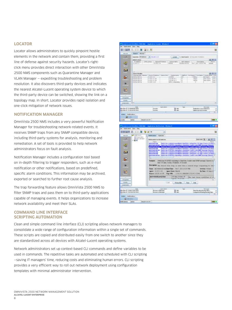#### **Locator**

Locator allows administrators to quickly pinpoint hostile elements in the network and contain them, providing a first line of defense against security hazards. Locator's rightclick menu provides direct interaction with other OmniVista 2500 NMS components such as Quarantine Manager and VLAN Manager — expediting troubleshooting and problem resolution. It also discovers third-party devices and indicates the nearest Alcatel-Lucent operating system device to which the third-party device can be switched, showing the link on a topology map. In short, Locator provides rapid isolation and one-click mitigation of network issues.

#### **Notification Manager**

OmniVista 2500 NMS includes a very powerful Notification Manager for troubleshooting network-related events. It receives SNMP traps from any SNMP compatible device, including third-party systems for analysis, monitoring and remediation. A set of tools is provided to help network administrators focus on fault analysis.

Notification Manager includes a configuration tool based on in-depth filtering to trigger responders, such as e-mail notification or other notifications, based on predefined, specific alarm conditions. This information may be archived, exported or searched to further root cause analysis.

The trap forwarding feature allows OmniVista 2500 NMS to filter SNMP traps and pass them on to third-party applications capable of managing events. It helps organizations to increase network availability and meet their SLAs.

### 图三角管 ×  $40 - 7$ ۰ w  $+11.011$ 屯 a. B. 'n ю 3m 制御習話 w 啦 a. B. m ю



#### **Command line interface scripting automation**

Clean and simple command line interface (CLI) scripting allows network managers to consolidate a wide range of configuration information within a single set of commands. These scripts are copied and distributed easily from one switch to another since they are standardized across all devices with Alcatel-Lucent operating systems.

Network administrators set up context-based CLI commands and define variables to be used in commands. The repetitive tasks are automated and scheduled with CLI scripting —saving IT managers' time, reducing costs and eliminating human errors. CLI scripting provides a very efficient way to roll out network deployment using configuration templates with minimal administrator intervention.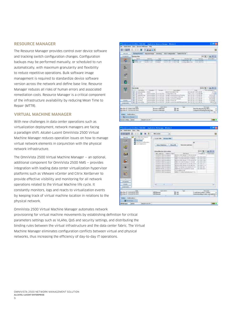#### **Resource Manager**

The Resource Manager provides control over device software and tracking switch configuration changes. Configuration backups may be performed manually, or scheduled to run automatically, with maximum granularity and flexibility to reduce repetitive operations. Bulk software image management is required to standardize device software version across the network and define base line. Resource Manager reduces all risks of human errors and associated remediation costs. Resource Manager is a critical component of the infrastructure availability by reducing Mean Time to Repair (MTTR).

#### **Virtual Machine Manager**

With new challenges in data center operations such as virtualization deployment, network managers are facing a paradigm shift. Alcatel-Lucent OmniVista 2500 Virtual Machine Manager reduces operation issues on how to manage virtual network elements in conjunction with the physical network infrastructure.

The OmniVista 2500 Virtual Machine Manager — an optional, additional component for OmniVista 2500 NMS — provides integration with leading data center virtualization hypervisor platforms such as VMware vCenter and Citrix XenServer to provide effective visibility and monitoring for all network operations related to the Virtual Machine life cycle. It constantly monitors, logs and reacts to virtualization events by keeping track of virtual machine location in relations to the physical network.

OmniVista 2500 Virtual Machine Manager automates network provisioning for virtual machine movements by establishing definition for critical parameters settings such as VLANs, QoS and security settings, and distributing the binding rules between the virtual infrastructure and the data center fabric. The Virtual Machine Manager eliminates configuration conflicts between virtual and physical networks, thus increasing the efficiency of day-to-day IT operations.

|                                                                         | <b>Application Democrationsman Thiodopoli</b>                       |                                                                                            |                                                                                   |
|-------------------------------------------------------------------------|---------------------------------------------------------------------|--------------------------------------------------------------------------------------------|-----------------------------------------------------------------------------------|
| <b>View Syncarcultures (14)</b>                                         |                                                                     |                                                                                            |                                                                                   |
| 高間                                                                      | Kingful off                                                         |                                                                                            |                                                                                   |
| <b>Billiands</b><br><b>Inchestrates</b>                                 | North length - Brooking - Adv Lodgeston - Spitch Fis Inc.           |                                                                                            |                                                                                   |
| Fisher<br><b>The Aug Films</b>                                          |                                                                     |                                                                                            | $14.3 - 10.7$                                                                     |
| <b>Digital</b>                                                          | <b>Tay</b><br>Address of                                            | 3146                                                                                       | <b>Britaine Taxe</b>                                                              |
| e to<br><b>AUREST AVE</b><br><b>FRITTI LUX</b><br>week, List            | $-11442$<br><b>TERRITA</b>                                          | <b><i>BACK DISTURBANCE</i></b><br>Fallmena H.<br>AND A CARD IS MADE THE<br>originities buy | 844311910<br>2 2 3 3 3 7 1 3                                                      |
|                                                                         |                                                                     |                                                                                            |                                                                                   |
|                                                                         |                                                                     |                                                                                            |                                                                                   |
|                                                                         |                                                                     |                                                                                            |                                                                                   |
| <b>第一部</b>                                                              |                                                                     |                                                                                            |                                                                                   |
|                                                                         |                                                                     |                                                                                            |                                                                                   |
|                                                                         |                                                                     |                                                                                            |                                                                                   |
| Ō                                                                       |                                                                     |                                                                                            |                                                                                   |
|                                                                         |                                                                     |                                                                                            |                                                                                   |
| $-11$<br><b><i>Die Delrake</i></b>                                      |                                                                     |                                                                                            | bartes 1                                                                          |
| 99<br>Art La Partner                                                    | 1.10 MHz<br>The color                                               | All the price of the parties                                                               | <b>CONTRACTOR</b><br><b>BRANCI</b>                                                |
| <b>B. J. RIGHTS</b>                                                     | <b>Post</b><br>Paint Artist 31.1.1 to 701                           | Wood france nations it sat<br><b>Contaction Tie</b>                                        | 37.12%<br>PAIN AIR, SIRT I SERT URL PAR<br><b>P. 1624</b><br>Feb 3, 2011 12:30 AM |
| 客域ですた                                                                   | Algorithment (C.A.A.Dol) (40)                                       | recoler Later/LA2-suitable Project                                                         | 37630<br>Apr 24, 2011 8:22:00 PM                                                  |
| <b>Elena</b>                                                            | Payment Print, \$1.4.4.000,000<br>Parties and San 10, 1-4 ter, 1927 | 39.000 LAUFORM 2.000.00<br>recent Lawritz chiato                                           | NY IN TOTAL LOCATION<br>LIKER DIE<br>101/540<br>ALL THE THEFT IS TO THE FINE      |
| <b>Billianni</b><br><b>John Arts</b><br>美运用地                            | Auction priditers (SLA 342, 992)                                    | Nicetel Lacated 39                                                                         | 7.57640<br>NY 28, 2311 E.D. 36 PM                                                 |
| ALLE (TENER<br><b>industrial</b>                                        | Racing without 24.4 A.M., Tex-                                      | MUNICIPALITY OF TRANSPORT PACIFIC AT A CALL OF THE                                         | <b>MATIN</b>                                                                      |
|                                                                         |                                                                     |                                                                                            |                                                                                   |
| Time.<br>May New LT 12 88-17 PM E RATE                                  | <b>SAFE ROLL</b><br><b>Brook is the same</b>                        | <b>P. MA</b>                                                                               | <b>Bronzelland</b><br>Har Trudy Forks (Tex.)                                      |
| More More by 17-201-224 PPLY (2004)                                     | <b>Kenter to Manager</b>                                            | B an                                                                                       | I separated filosofolg Statistics 1964                                            |
| <b>Shakes L. Busets allows</b>                                          |                                                                     |                                                                                            |                                                                                   |
| <b>B</b> Following Brings                                               |                                                                     |                                                                                            |                                                                                   |
| <b>BILZELALICE</b><br><b>MAIN BOAL DIRECT</b>                           |                                                                     |                                                                                            | <b>The State</b>                                                                  |
|                                                                         |                                                                     |                                                                                            |                                                                                   |
|                                                                         |                                                                     |                                                                                            |                                                                                   |
| <b>Constituted modern FREDRIC Application believings: Windows &amp;</b> |                                                                     |                                                                                            | <b>STIMBS</b>                                                                     |
|                                                                         |                                                                     |                                                                                            |                                                                                   |
| 自己間                                                                     | VW1.multipl                                                         |                                                                                            |                                                                                   |
|                                                                         | b.                                                                  |                                                                                            |                                                                                   |
| <b>DELLE MOUVEN</b><br>-<br>Entrancinum.                                | Locate Way - Browns which                                           |                                                                                            |                                                                                   |
| <b>CALLAGE</b><br>16.81<br>1. The car cluster of configuration          |                                                                     |                                                                                            |                                                                                   |
| - In construction                                                       |                                                                     |                                                                                            |                                                                                   |
| $\frac{1}{2}$                                                           | <b>British Statistics</b>                                           | <b>Show At</b><br><b>Britteled politices</b>                                               |                                                                                   |
|                                                                         |                                                                     |                                                                                            |                                                                                   |

WT.

5J æ

w

 $m = 0.011$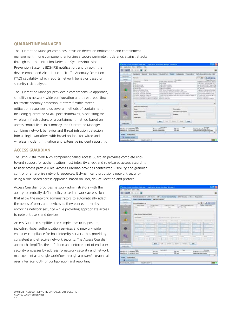#### **Quarantine Manager**

The Quarantine Manager combines intrusion detection notification and containment management in one component, enforcing a secure perimeter. It defends against attacks

through external Intrusion Detection Systems/Intrusion Prevention Systems (IDS/IPS) notification, and through the device-embedded Alcatel-Lucent Traffic Anomaly Detection (TAD) capability, which reports network behavior based on security risk analysis.

The Quarantine Manager provides a comprehensive approach, simplifying network-wide configuration and threat reporting for traffic anomaly detection. It offers flexible threat mitigation responses plus several methods of containment, including quarantine VLAN, port shutdowns, blacklisting for wireless infrastructure, or a containment method based on access control lists. In summary, the Quarantine Manager combines network behavior and threat intrusion detection into a single workflow, with broad options for wired and wireless incident mitigation and extensive incident reporting.

|                                                                |                            | Lardstein Street West Board - Studies Forts - Super Contractive - Horn Law Annual Delentor City |                                                      |
|----------------------------------------------------------------|----------------------------|-------------------------------------------------------------------------------------------------|------------------------------------------------------|
| <b>Hide List</b>                                               |                            |                                                                                                 | HH & A B = D                                         |
| Farmer.<br><b>AVAILABLE</b>                                    |                            | Denvision)<br>NUMBER OF STREET PART                                                             | <b>SAFE CAFE</b><br>THE REVENUES FOR THE TANK        |
| 1.1                                                            | <b>Scott Service</b>       |                                                                                                 | the cost in the property costs. This                 |
| Publish trantols                                               | Fellow DV Jezuitz          |                                                                                                 | tes, all-toky of 1981. "statue-Fi-                   |
| <b>Fundsharder</b>                                             | photOLOgokut               |                                                                                                 | at MCCOUNTRY/Testuris                                |
| Like the                                                       | other should get           |                                                                                                 | 49, 49, 141                                          |
| <b>Digital Analysis (Page</b><br>AVAILABLE FINANCE RET COTTANT |                            | 1935 Janet Lynd Climbo Right Top<br>The current reson discriminal axis diff. As it \$10pm diff. | backs works benefits to the<br>Lances Al'ade ESS for |
| MARKAW Risks of Indiana in                                     |                            | The attractions installed a region of no looking action.                                        | Elektronical Programs                                |
| <b>GAINARD STANDARD TO LOCAL ATT</b>                           |                            | The SCARE Law Andrew Profit-Toronto a check from all in Thomas AF                               | Chattain, Incorporate To                             |
| Alaskaliate Sabilizati Bonza Casanti                           | <b>Hancan Cause</b> !      |                                                                                                 | Kehian Coleans                                       |
| Haroncard Edificant Robert Edicited                            | Maturezo Badicha I         |                                                                                                 | <b>Kalinas, Tolk-Both at Effect</b>                  |
|                                                                |                            |                                                                                                 |                                                      |
| ×.                                                             |                            |                                                                                                 |                                                      |
|                                                                |                            |                                                                                                 |                                                      |
| West Course William                                            |                            |                                                                                                 |                                                      |
| <b>Norse</b>                                                   |                            | <b>Base spiker</b>                                                                              |                                                      |
| <b>Traum Texnology</b>                                         |                            | Eath prima Angeles power                                                                        |                                                      |
|                                                                |                            |                                                                                                 |                                                      |
| <b>Britton</b>                                                 |                            | <b>Support</b>                                                                                  | в                                                    |
| <b>Issued Rapid</b>                                            |                            |                                                                                                 |                                                      |
|                                                                |                            |                                                                                                 |                                                      |
|                                                                |                            |                                                                                                 |                                                      |
|                                                                |                            |                                                                                                 |                                                      |
|                                                                | $-400$ $-100$              | L. Grover, L. Grover, IL, alema,                                                                |                                                      |
|                                                                | <b>SERVICE CARDS</b>       | m                                                                                               |                                                      |
|                                                                |                            |                                                                                                 |                                                      |
| Total<br>May Nov 17, 1746-17 PM ERIC                           | <b>Benister of Manager</b> | Bm.                                                                                             | Northcalled Socker River                             |

#### **Access Guardian**

The OmniVista 2500 NMS component called Access Guardian provides complete endto-end support for authentication, host integrity check and role-based access according to user access profile rules. Access Guardian provides centralized visibility and granular control of enterprise network resources. It dynamically provisions network security using a role-based access approach, based on user, device, location and protocol.

Access Guardian provides network administrators with the ability to centrally define policy-based network access rights that allow the network administrators to automatically adapt the needs of users and devices as they connect, thereby enforcing network security while providing appropriate access to network users and devices.

Access Guardian simplifies the complete security posture, including global authentication services and network-wide end-user compliance for host integrity servers, thus providing consistent and effective network security. The Access Guardian approach simplifies the definition and enforcement of end-user security processes by addressing network security and network management as a single workflow through a powerful graphical user interface (GUI) for configuration and reporting.

|                                                                                                                                                                                                                                                                                                                                                                                                                                                                                                                      | Advotationary 10, how 1991, Accordando and 1997 Streets, the Discount                                                                                                                                              |                                                                                                    |                                                                                                                  |
|----------------------------------------------------------------------------------------------------------------------------------------------------------------------------------------------------------------------------------------------------------------------------------------------------------------------------------------------------------------------------------------------------------------------------------------------------------------------------------------------------------------------|--------------------------------------------------------------------------------------------------------------------------------------------------------------------------------------------------------------------|----------------------------------------------------------------------------------------------------|------------------------------------------------------------------------------------------------------------------|
| <b>Business Stone Moon 4 per</b><br><b>State of</b>                                                                                                                                                                                                                                                                                                                                                                                                                                                                  | Installable Maridae   19754 Fabrica<br>THE SERVICE CONTROLL FOR STATISTICS.                                                                                                                                        | $-10.336$                                                                                          | $-3.41 - 1$                                                                                                      |
| Vice Boone Gascher Rend                                                                                                                                                                                                                                                                                                                                                                                                                                                                                              |                                                                                                                                                                                                                    |                                                                                                    |                                                                                                                  |
| Personal Advise<br>-<br><b>STAR</b><br>---<br>--<br><b>START</b><br>$\frac{1}{2} \left[ \begin{array}{ccc} \frac{1}{2} & \frac{1}{2} & \frac{1}{2} \\ \frac{1}{2} & \frac{1}{2} & \frac{1}{2} \end{array} \right] = \frac{1}{2} \left[ \begin{array}{ccc} \frac{1}{2} & \frac{1}{2} & \frac{1}{2} \\ \frac{1}{2} & \frac{1}{2} & \frac{1}{2} \end{array} \right] = \frac{1}{2} \left[ \begin{array}{ccc} \frac{1}{2} & \frac{1}{2} & \frac{1}{2} \\ \frac{1}{2} & \frac{1}{2} & \frac{1}{2} \end{array} \right] = \$ | 1.40 cm or normal. Bill be left that<br><b>CONTRACTOR</b><br>16.2<br>1.<br><b>The Channel</b><br>ы<br>$-11$<br><b>Scientist</b><br>m<br>$-1 - 1$<br>ш<br><b>START</b><br><b>START</b><br>on painters and painters. | special colored inside<br><b>COLLEGE</b><br><b>Side</b><br>--<br>Be I to I love I has I hope to be | <b>State</b><br>a.<br><b>Branch Avenue</b><br><b>TELES</b><br><b>STATE</b><br>with the control of the control of |
| 1486<br>May Nov 17, 13 Wold Pal 1920<br>May May 17, 13 Mil-14 (PEE divis)                                                                                                                                                                                                                                                                                                                                                                                                                                            | <b>Golf &amp; Mind</b><br><b>Bacallor</b><br>is an allow                                                                                                                                                           | <b>Separa</b><br>m                                                                                 | <b><i><u>Point</u></i></b><br>Redstation search Boldard<br><b>TRANSVERSE GRUNDLING</b>                           |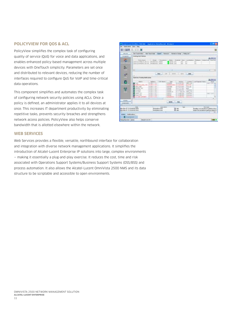#### **PolicyView for QoS & ACL**

PolicyView simplifies the complex task of configuring quality of service (QoS) for voice and data applications, and enables enhanced policy-based management across multiple devices with OneTouch simplicity. Parameters are set once and distributed to relevant devices, reducing the number of interfaces required to configure QoS for VoIP and time-critical data operations.

This component simplifies and automates the complex task of configuring network security policies using ACLs. Once a policy is defined, an administrator applies it to all devices at once. This increases IT department productivity by eliminating repetitive tasks, prevents security breaches and strengthens network access policies. PolicyView also helps conserve bandwidth that is allotted elsewhere within the network.



#### **Web Services**

Web Services provides a flexible, versatile, northbound interface for collaboration and integration with diverse network management applications. It simplifies the introduction of Alcatel-Lucent Enterprise IP solutions into large, complex environments — making it essentially a plug-and-play exercise. It reduces the cost, time and risk associated with Operations Support Systems/Business Support Systems (OSS/BSS) and process automation. It also allows the Alcatel-Lucent OmniVista 2500 NMS and its data structure to be scriptable and accessible to open environments.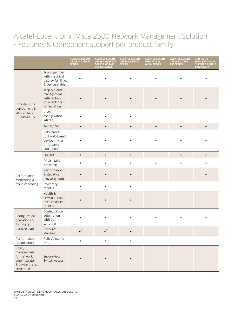### Alcatel-Lucent OmniVista 2500 Network Management Solution - Features & Component support per product family

|                                                                                        |                                                                            | <b>ALCATEL-LUCENT</b><br><b>OS10K &amp; OS6900</b><br><b>SERIES</b> | <b>ALCATEL-LUCENT</b><br>OS6850, OS6850E,<br>OS6855, OS6400,<br><b>OS900E SERIES</b> | <b>ALCATEL-LUCENT</b><br>0S6250, 0S6450<br><b>SERIES</b> | <b>ALCATEL-LUCENT</b><br><b>OMNIACCESS</b><br><b>WLAN SERIES</b> | <b>ALCATEL-LUCENT</b><br>7750SR & 7450<br><b>ESS SERIES</b> | <b>3RD PARTY</b><br><b>DEVICE W/ SNMP</b><br><b>SUPPORT &amp; MIB-2</b><br><b>COMPLIANT</b> |
|----------------------------------------------------------------------------------------|----------------------------------------------------------------------------|---------------------------------------------------------------------|--------------------------------------------------------------------------------------|----------------------------------------------------------|------------------------------------------------------------------|-------------------------------------------------------------|---------------------------------------------------------------------------------------------|
| Infrastructure<br>deployment &<br>centralization<br>of operations                      | Topology map<br>with graphical<br>display for links<br>& device status     | $\bullet^1$                                                         |                                                                                      |                                                          |                                                                  |                                                             |                                                                                             |
|                                                                                        | Trap & alarm<br>management<br>with "action<br>on event" for<br>remediation |                                                                     |                                                                                      |                                                          |                                                                  |                                                             |                                                                                             |
|                                                                                        | <b>VLAN</b><br>configuration<br>wizard                                     |                                                                     |                                                                                      |                                                          |                                                                  |                                                             |                                                                                             |
|                                                                                        | Telnet/SSH                                                                 | $\bullet$                                                           |                                                                                      |                                                          | $\bullet$                                                        |                                                             |                                                                                             |
|                                                                                        | EMS launch<br>tool web-based<br>device mgr or<br>third party<br>app launch |                                                                     |                                                                                      |                                                          |                                                                  |                                                             |                                                                                             |
| Performance<br>monitoring &<br>troubleshooting                                         | Locator                                                                    | $\bullet$                                                           | $\bullet$                                                                            | $\bullet$                                                |                                                                  | $\bullet$                                                   |                                                                                             |
|                                                                                        | Device MIB<br>browsing                                                     |                                                                     |                                                                                      |                                                          |                                                                  |                                                             |                                                                                             |
|                                                                                        | Performance<br>& statistics<br>measurements                                |                                                                     |                                                                                      |                                                          |                                                                  |                                                             |                                                                                             |
|                                                                                        | Inventory<br>reports                                                       |                                                                     |                                                                                      |                                                          |                                                                  |                                                             |                                                                                             |
|                                                                                        | Health &<br>environmental<br>performances<br>reports                       |                                                                     |                                                                                      |                                                          |                                                                  |                                                             |                                                                                             |
| Configuration<br>operations &<br>Firmware<br>management                                | Configuration<br>automation<br>with CLI<br>scripting                       |                                                                     |                                                                                      |                                                          |                                                                  |                                                             |                                                                                             |
|                                                                                        | Resource<br>Manager                                                        | 3                                                                   | 3                                                                                    |                                                          |                                                                  |                                                             |                                                                                             |
| Performance<br>optimization                                                            | PolicyView for<br>QoS                                                      | $\bullet$                                                           | $\bullet$                                                                            | $\bullet$                                                |                                                                  |                                                             |                                                                                             |
| Policy<br>management<br>for network<br>administrator<br>& device access<br>credentials | SecureView<br>Switch Access                                                |                                                                     |                                                                                      |                                                          |                                                                  |                                                             |                                                                                             |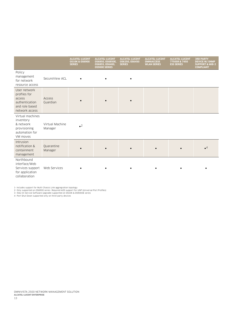|                                                                                              |                            | <b>ALCATEL-LUCENT</b><br><b>0S10K &amp; 0S6900</b><br><b>SERIES</b> | <b>ALCATEL-LUCENT</b><br>OS6850, OS6850E,<br>OS6855, OS6400,<br><b>OS900E SERIES</b> | <b>ALCATEL-LUCENT</b><br>0S6250.0S6450<br><b>SERIES</b> | <b>ALCATEL-LUCENT</b><br><b>OMNIACCESS</b><br><b>WLAN SERIES</b> | <b>ALCATEL-LUCENT</b><br>7750SR & 7450<br><b>ESS SERIES</b> | <b>3RD PARTY</b><br><b>DEVICE W/ SNMP</b><br><b>SUPPORT &amp; MIB-2</b><br><b>COMPLIANT</b> |
|----------------------------------------------------------------------------------------------|----------------------------|---------------------------------------------------------------------|--------------------------------------------------------------------------------------|---------------------------------------------------------|------------------------------------------------------------------|-------------------------------------------------------------|---------------------------------------------------------------------------------------------|
| Policy<br>management<br>for network<br>resource access                                       | SecureView ACL             |                                                                     |                                                                                      |                                                         |                                                                  |                                                             |                                                                                             |
| User network<br>profiles for<br>access<br>authentication<br>and role based<br>network access | Access<br>Guardian         |                                                                     |                                                                                      |                                                         |                                                                  |                                                             |                                                                                             |
| Virtual machines<br>inventory<br>& network<br>provisioning<br>automation for<br>VM moves     | Virtual Machine<br>Manager | $^{\circ}$                                                          |                                                                                      |                                                         |                                                                  |                                                             |                                                                                             |
| Intrusion<br>notification &<br>containment<br>management                                     | Quarantine<br>Manager      |                                                                     |                                                                                      |                                                         |                                                                  |                                                             | $^{\circ}$                                                                                  |
| Northbound<br>interface/Web<br>Services support<br>for application<br>collaboration          | Web Services               |                                                                     |                                                                                      |                                                         |                                                                  |                                                             |                                                                                             |

1- Includes support for Multi Chassis Link aggregration topology<br>2- Only supported on OS6900 series- Required AOS support for UNP (Universal Port Profiles)<br>3- ISSU (In Service Software Upgrade) supported on OS10K & OS9000E

13 omnivista 2500 network management solution **Alcatel-Lucent enterprise**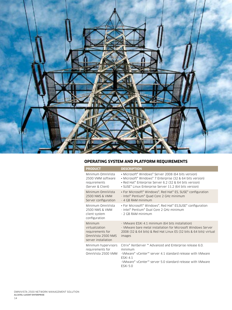

#### **Operating system and platform requirements**

| <b>PRODUCT</b>                                                                             | <b>DESCRIPTION</b>                                                                                                                                                                                                                                                                                |
|--------------------------------------------------------------------------------------------|---------------------------------------------------------------------------------------------------------------------------------------------------------------------------------------------------------------------------------------------------------------------------------------------------|
| Minimum OmniVista<br>2500 VMM software<br>requirements<br>(Server & Client)                | • Microsoft <sup>®</sup> Windows <sup>®</sup> Server 2008 (64 bits version)<br>• Microsoft <sup>®</sup> Windows <sup>®</sup> 7 Enterprise (32 & 64 bits version)<br>• Red Hat <sup>®</sup> Enterprise Server 6.2 (32 & 64 bits version)<br>• SUSE® Linux Enterprise Server 11.2 (64 bits version) |
| Minimum OmniVista<br>2500 NMS & VMM<br>Server configuration                                | • For Microsoft <sup>®</sup> Windows <sup>®</sup> , Red Hat® ES, SUSE® configuration<br>- Intel® Pentium® Quad Core 2 GHz minimum<br>- 4 GB RAM minimum                                                                                                                                           |
| Minimum OmniVista<br>2500 NMS & VMM<br>client system<br>configuration                      | • For Microsoft <sup>®</sup> Windows <sup>®</sup> , Red Hat <sup>®</sup> ES, SUSE <sup>®</sup> configuration<br>- Intel® Pentium® Dual Core 2 GHz minimum<br>- 2 GB RAM minimum                                                                                                                   |
| Minimum<br>virtualization<br>requirements for<br>OmniVista 2500 NMS<br>server installation | - VMware ESXi 4.1 minimum (64 bits installation)<br>- VMware bare metal installation for Microsoft Windows Server<br>2008 (32 & 64 bits) & Red Hat Linux ES (32 bits & 64 bits) virtual<br>images                                                                                                 |
| Minimum hypervisors<br>requirements for<br>OmniVista 2500 VMM                              | Citrix® XenServer ™ Advanced and Enterprise release 6.0.<br>minimum<br>-VMware® vCenter™ server 4.1 standard release with VMware<br><b>FSXi 41</b><br>-VMware® vCenter™ server 5.0 standard release with VMware<br><b>ESXi 5.0</b>                                                                |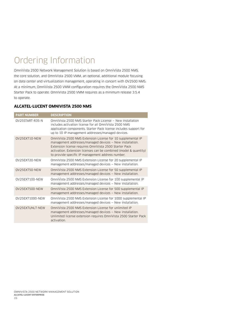## Ordering Information

OmniVista 2500 Network Management Solution is based on OmniVista 2500 NMS, the core solution, and OmniVista 2500 VMM, an optional, additional module focusing on data center and virtualization management, operating in concert with OV2500 NMS. At a minimum, OmniVista 2500 VMM configuration requires the OmniVista 2500 NMS Starter Pack to operate. OmniVista 2500 VMM requires as a minimum release 3.5.4 to operate.

#### **Alcatel-Lucent OmniVista 2500 NMS**

| <b>PART NUMBER</b> | <b>DESCRIPTION</b>                                                                                                                                                                                                                                                                                          |
|--------------------|-------------------------------------------------------------------------------------------------------------------------------------------------------------------------------------------------------------------------------------------------------------------------------------------------------------|
| OV25START-R35-N    | OmniVista 2500 NMS Starter Pack License – New installation<br>includes activation license for all OmniVista 2500 NMS<br>application components. Starter Pack license includes support for<br>up to 10 IP management addresses/managed devices.                                                              |
| OV25EXT10-NEW      | OmniVista 2500 NMS Extension License for 10 supplemental IP<br>management addresses/managed devices – New installation.<br>Extension license requires OmniVista 2500 Starter Pack<br>activation. Extension licenses can be combined (model & quantity)<br>to provide specific IP management address number. |
| OV25EXT20-NEW      | OmniVista 2500 NMS Extension License for 20 supplemental IP<br>management addresses/managed devices - New installation.                                                                                                                                                                                     |
| OV25EXT50-NEW      | OmniVista 2500 NMS Extension License for 50 supplemental IP<br>management addresses/managed devices – New installation.                                                                                                                                                                                     |
| OV25EXT100-NEW     | OmniVista 2500 NMS Extension License for 100 supplemental IP<br>management addresses/managed devices - New installation.                                                                                                                                                                                    |
| OV25EXT500-NEW     | OmniVista 2500 NMS Extension License for 500 supplemental IP<br>management addresses/managed devices – New installation.                                                                                                                                                                                    |
| 0V25EXT1000-NEW    | OmniVista 2500 NMS Extension License for 1000 supplemental IP<br>management addresses/managed devices – New installation.                                                                                                                                                                                   |
| OV25EXTUNLT-NEW    | OmniVista 2500 NMS Extension License for unlimited IP<br>management addresses/managed devices - New installation.<br>Unlimited license extension requires OmniVista 2500 Starter Pack<br>activation.                                                                                                        |